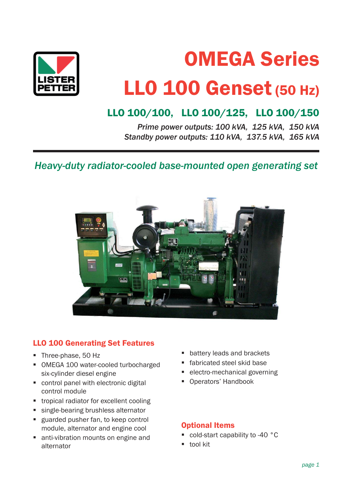

# OMEGA Series LL0 100 Genset (50 Hz)

# LLO 100/100, LLO 100/125, LLO 100/150

*Prime power outputs: 100 kVA, 125 kVA, 150 kVA Standby power outputs: 110 kVA, 137.5 kVA, 165 kVA*

*Heavy-duty radiator-cooled base-mounted open generating set*



# LLO 100 Generating Set Features

- **Three-phase, 50 Hz**
- OMEGA 100 water-cooled turbocharged six-cylinder diesel engine
- control panel with electronic digital control module
- **tropical radiator for excellent cooling**
- single-bearing brushless alternator
- **guarded pusher fan, to keep control** module, alternator and engine cool
- anti-vibration mounts on engine and alternator
- **battery leads and brackets**
- **fabricated steel skid base**
- **EXECT** electro-mechanical governing
- **Operators' Handbook**

#### Optional Items

- cold-start capability to -40 °C
- **tool kit**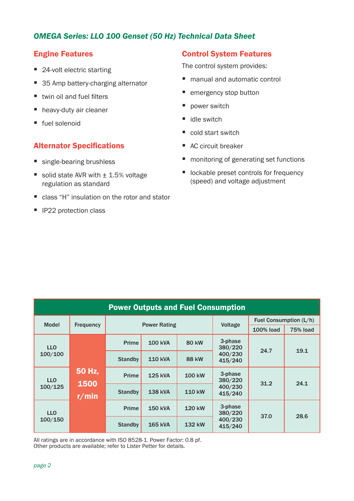# *OMEGA Series: LLO 100 Genset (50 Hz) Technical Data Sheet*

## Engine Features

- 24-volt electric starting
- 35 Amp battery-charging alternator
- $\blacksquare$  twin oil and fuel filters
- heavy-duty air cleaner
- fuel solenoid

## **Alternator Specifications**

- single-bearing brushless
- solid state AVR with  $\pm$  1.5% voltage regulation as standard
- class "H" insulation on the rotor and stator
- **IF22 protection class**

# Control System Features

The control system provides:

- manual and automatic control
- emergency stop button
- power switch
- idle switch
- cold start switch
- AC circuit breaker
- monitoring of generating set functions
- **Delargerish** lockable preset controls for frequency (speed) and voltage adjustment

| <b>Power Outputs and Fuel Consumption</b> |                         |                |                     |              |                    |                        |                 |  |
|-------------------------------------------|-------------------------|----------------|---------------------|--------------|--------------------|------------------------|-----------------|--|
| <b>Model</b>                              |                         |                |                     |              | Voltage            | Fuel Consumption (L/h) |                 |  |
|                                           | <b>Frequency</b>        |                | <b>Power Rating</b> |              |                    | <b>100% load</b>       | <b>75% load</b> |  |
| <b>LLO</b><br>100/100                     | 50 Hz,<br>1500<br>r/min | <b>Prime</b>   | <b>100 kVA</b>      | 80 kW        | 3-phase<br>380/220 | 24.7                   | 19.1            |  |
|                                           |                         | <b>Standby</b> | <b>110 kVA</b>      | <b>88 kW</b> | 400/230<br>415/240 |                        |                 |  |
| <b>LLO</b><br>100/125                     |                         | <b>Prime</b>   | <b>125 kVA</b>      | 100 kW       | 3-phase<br>380/220 | 31.2                   | 24.1            |  |
|                                           |                         | <b>Standby</b> | <b>138 kVA</b>      | 110 kW       | 400/230<br>415/240 |                        |                 |  |
| <b>LLO</b><br>100/150                     |                         | <b>Prime</b>   | <b>150 kVA</b>      | 120 kW       | 3-phase<br>380/220 | 37.0                   | 28.6            |  |
|                                           |                         | <b>Standby</b> | <b>165 kVA</b>      | 132 kW       | 400/230<br>415/240 |                        |                 |  |

All ratings are in accordance with ISO 8528-1. Power Factor: 0.8 pf. Other products are available; refer to Lister Petter for details.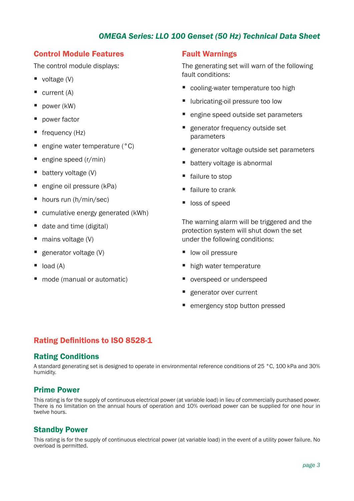# *OMEGA Series: LLO 100 Genset (50 Hz) Technical Data Sheet*

#### Control Module Features

The control module displays:

- voltage  $(V)$
- $\blacksquare$  current (A)
- power (kW)
- power factor
- **frequency (Hz)**
- engine water temperature (°C)
- $\blacksquare$  engine speed (r/min)
- battery voltage (V)
- engine oil pressure (kPa)
- hours run (h/min/sec)
- cumulative energy generated (kWh)
- date and time (digital)
- $\blacksquare$  mains voltage (V)
- $\blacksquare$  generator voltage (V)
- $\blacksquare$  load (A)
- mode (manual or automatic)

#### Fault Warnings

The generating set will warn of the following fault conditions:

- cooling-water temperature too high
- **U** lubricating-oil pressure too low
- engine speed outside set parameters
- generator frequency outside set parameters
- **E** generator voltage outside set parameters
- battery voltage is abnormal
- failure to stop
- failure to crank
- loss of speed

The warning alarm will be triggered and the protection system will shut down the set under the following conditions:

- $\blacksquare$  low oil pressure
- high water temperature
- overspeed or underspeed
- generator over current
- emergency stop button pressed

# Rating Definitions to ISO 8528-1

#### Rating Conditions

A standard generating set is designed to operate in environmental reference conditions of 25 °C, 100 kPa and 30% humidity.

#### Prime Power

This rating is for the supply of continuous electrical power (at variable load) in lieu of commercially purchased power. There is no limitation on the annual hours of operation and 10% overload power can be supplied for one hour in twelve hours.

#### Standby Power

This rating is for the supply of continuous electrical power (at variable load) in the event of a utility power failure. No overload is permitted.